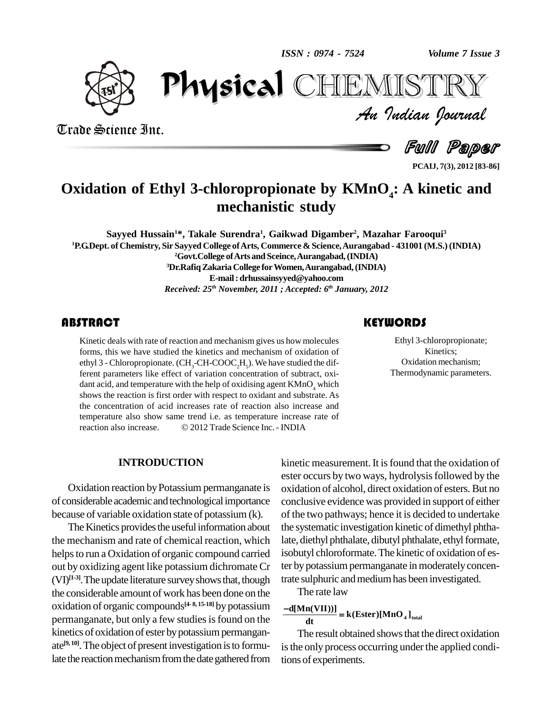

*Volume 7 Issue 3*<br>IISTRY<br>Indian Iournal  $\mathbf{P}$ CHEMISTRY

Full Paper

**PCAIJ, 7(3), 2012 [83-86]**

# **Oxidation of Ethyl 3-chloropropionate by KMnO4: A kinetic and mechanistic study**

**Sayyed Hussain <sup>1</sup>\*, Takale Surendra 1 , Gaikwad Digamber 2 , Mazahar Farooqui<sup>3</sup> <sup>1</sup>P.G.Dept. of Chemistry, Sir Sayyed College ofArts, Commerce & Science,Aurangabad - 431001 (M.S.) (INDIA) <sup>2</sup>Govt.College ofArts and Sceince,Aurangabad,(INDIA) <sup>3</sup>Dr.RafiqZakaria College forWomen,Aurangabad,(INDIA) E-mail: [drhussainsyyed@yahoo.com](mailto:drhussainsyyed@yahoo.com)** *Received: 25 th November, 2011 ; Accepted: 6 th January, 2012*

### **ABSTRACT**

Kinetic deals with rate of<br>forms, this we have stude<br>thyl 3 - Chloropropional Kinetic deals with rate of reaction and mechanism gives us how molecules forms, this we have studied the kinetics and mechanism of oxidation of ethyl 3 - Chloropropionate. (CH<sub>3</sub>-CH-COOC<sub>3</sub>H<sub>c</sub>). We have studied the different parameters like effect of variation concentration of subtract, oxi dant acid, and temperature with the help of oxidising agent KMnO<sub>4</sub> which shows the reaction is first order with respect to oxidant and substrate. As the concentration of acid increases rate of reaction also increase and temperature also show same trend i.e. as temperature increase rate of the concentration of acid increases rate of reaction also increase and<br>temperature also show same trend i.e. as temperature increase rate of<br>reaction also increase. © 2012 Trade Science Inc. - INDIA

Ethyl 3-chloropropi<br>Kinetics;<br>Oxidation mechan Ethyl 3-chloropropionate; Kinetics; Oxidation mechanism; Thermodynamic parameters.

#### **INTRODUCTION**

Oxidation reaction byPotassium permanganate is of considerable academic and technological importance because of variable oxidation state of potassium (k).

The Kinetics provides the useful information about the mechanism and rate of chemical reaction, which helps to run a Oxidation of organic compound carried out by oxidizing agent like potassium dichromate Cr  $(VI)^{[1-3]}$ . The update literature survey shows that, though trate su the considerable amount of work has been done on the oxidation of organic compounds **[4- 8, 15-18]** by potassium permanganate, but only a few studies is found on the kinetics of oxidation of ester by potassium permanganate **[9, 10]**.The object of present investigation isto formulate the reaction mechanism from the date gathered from

kinetic measurement. It is found that the oxidation of ester occurs by two ways, hydrolysis followed by the oxidation of alcohol, direct oxidation of esters.But no conclusive evidence was provided in support of either of the two pathways; hence it is decided to undertake the systematic investigation kinetic of dimethyl phthalate, diethyl phthalate, dibutyl phthalate, ethyl formate, isobutyl chloroformate.The kinetic of oxidation of ester by potassium permanganate in moderately concentrate sulphuric and medium has been investigated.<br>The rate law

The rate law

# $\frac{4A(1.42)J_1}{dt} = k(Ester)[MnO_4]_{total}$ The rate law<br> $\frac{d[{\bf Mn}({\bf VII}))]}{d[{\bf H}({\bf VII})]} = k(Ester)$

The result obtained shows that the direct oxidation is the only process occurring under the applied conditions of experiments.

Trade Science Inc. Trade Science Inc.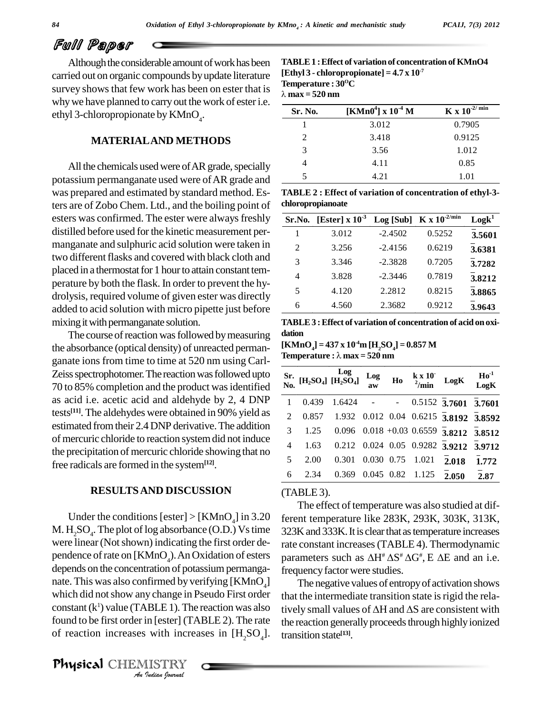### Full Paper

Although the considerable amount of work has been carried out on organic compounds byupdate literature survey shows that few work has been on ester that is whywe have planned to carryout the work of esteri.e. ethyl 3-chloropropionate by  $KMnO<sub>4</sub>$ .

#### **MATERIALAND METHODS**

All the chemicals used were of AR grade, specially potassium permanganate used were of AR grade and was prepared and estimated by standard method. Esters are of Zobo Chem. Ltd., and the boiling point of esters was confirmed. The ester were always freshly distilled before used for the kinetic measurement permanganate and sulphuric acid solution were taken in two different flasks and covered with black cloth and placed in a thermostat for 1 hour to attain constant temperature by both the flask. In order to prevent the hy drolysis, required volume of given ester was directly added to acid solution with micro pipette just before mixing it with permanganate solution.

The course of reaction was followed by measuring the absorbance (optical density) of unreacted perman-<br> **EXAMPLE 257 & 10°MPLE** 200 ganate ions from time to time at 520 nm using Carl- Zeiss spectrophotomer. The reaction was followed upto 70 to 85% completion and the product wasidentified as acid i.e. acetic acid and aldehyde by 2, 4 DNP tests<sup>[11]</sup>. The aldehydes were obtained in 90% yield as  $\frac{1}{2}$ estimated fromtheir 2.4 DNP derivative.The addition of mercuric chloride to reaction systemdid not induce the precipitation of mercuric chloride showing that no free radicals are formed in the system**[12]**.

#### **RESULTSAND DISCUSSION**

which did not show any change in Pseudo First order that *I*<br>*IDLE 1). The*<br>*In [ester] (TA*<br>*I* with increal<br>*I*ISTRY Under the conditions [ester] > [KMnO<sub>4</sub>] in 3.20 M.  $H_2SO_4$ . The plot of log absorbance (O.D.) Vs time 323K were linear (Not shown) indicating the first order dependence of rate on [KMnO<sub>4</sub>). An Oxidation of esters parameters such as  $\Delta H^* \Delta S^* \Delta G^*$ , E  $\Delta E$  and an i.e. depends on the concentration of potassium permanganate. This was also confirmed by verifying  $[KMnO<sub>4</sub>]$ constant  $(k<sup>1</sup>)$  value (TABLE 1). The reaction was also tively s found to be first order in [ester] (TABLE 2). The rate of reaction increases with increases in  $[H_2SO_4]$ . tra

#### **TABLE1 :Effect of variation of concentration ofKMnO4 [Ethyl 3 - chloropropionate] = 4.7 x 10 -7 Temperature : 30 <sup>O</sup>C**  $\lambda$  max = 520 nm

| Sr. No.       | $[KMn04]$ x $10-4$ M | $K \times 10^{-2/\min}$ |
|---------------|----------------------|-------------------------|
|               | 3.012                | 0.7905                  |
| $\mathcal{L}$ | 3.418                | 0.9125                  |
| 3             | 3.56                 | 1.012                   |
|               | 4.11                 | 0.85                    |
|               | 4 21                 | 1.01                    |

**TABLE 2 : Effect of variation of concentration of ethyl-3 chloropropianoate**

|   | Sr.No. [Ester] $\times 10^{-3}$ |           | Log [Sub] $K \times 10^{-2/\text{min}}$ | Logk <sup>1</sup> |
|---|---------------------------------|-----------|-----------------------------------------|-------------------|
|   | 3.012                           | $-2.4502$ | 0.5252                                  | 3.5601            |
| 2 | 3.256                           | $-2.4156$ | 0.6219                                  | 3.6381            |
| 3 | 3.346                           | $-2.3828$ | 0.7205                                  | 3.7282            |
| 4 | 3.828                           | $-2.3446$ | 0.7819                                  | 3.8212            |
| 5 | 4.120                           | 2.2812    | 0.8215                                  | 3.8865            |
| 6 | 4.560                           | 2.3682    | 0.9212                                  | 3.9643            |

**TABLE3 :Effect of variation of concentration of acid on oxi dation**

**[KMnO4] = 437 x 10 -4m [H2SO4] = 0.857 M** dation<br>[KMnO<sub>4</sub>] = 437 x 10<sup>-4</sup>m [H<sub>2</sub>SO<sub>4</sub>] = 0.857 M<br>Temperature : λ max = 520 nm

|   |       | Sr. $\begin{bmatrix} \text{Log} \\ \text{No.} \end{bmatrix}$ $\begin{bmatrix} H_2SO_4 \end{bmatrix}$ $\begin{bmatrix} H_2SO_4 \end{bmatrix}$ | $\frac{\text{Log}}{\text{aw}}$ | H <sub>0</sub> | $\frac{k x 10}{2/min}$ LogK |       | $\frac{{\rm{Ho}^{\text{-}1}}}{\rm{LogK}}$ |
|---|-------|----------------------------------------------------------------------------------------------------------------------------------------------|--------------------------------|----------------|-----------------------------|-------|-------------------------------------------|
|   | 0.439 | $1.6424$ - $0.5152$ 3.7601 3.7601                                                                                                            |                                |                |                             |       |                                           |
| 2 |       | $0.857$ 1.932 0.012 0.04 0.6215 $\overline{3,8192}$ $\overline{3,8592}$                                                                      |                                |                |                             |       |                                           |
|   |       | 3 1.25 0.096 0.018 +0.03 0.6559 $\overline{3,8212}$ $\overline{3,8512}$                                                                      |                                |                |                             |       |                                           |
| 4 |       | 1.63 0.212 0.024 0.05 0.9282 3.9212 3.9712                                                                                                   |                                |                |                             |       |                                           |
| 5 | 2.00  | 0.301 0.030 0.75 1.021                                                                                                                       |                                |                |                             | 2.018 | 1.772                                     |
| 6 |       | 2.34 0.369 0.045 0.82 1.125                                                                                                                  |                                |                |                             | 2.050 | 2.87                                      |

#### $(TABLE3)$ .

The effect of temperature was also studied at different temperature like 283K, 293K, 303K, 313K, 323K and 333K. It is clear that as temperature increases<br>rate constant increases (TABLE 4). Thermodynamic<br>parameters such as  $\Delta H^* \Delta S^* \Delta G^*$ , E  $\Delta E$  and an i.e. rate constant increases(TABLE 4). Thermodynamic mperature increases<br>). Thermodynamic<br>, E ΔE and an i.e. frequency factor were studies.

The negative values of entropy of activation shows that the intermediate transition state is rigid the relatively small values of  $\Delta H$  and  $\Delta S$  are consistent with the reaction generally proceeds through highly ionized transition state **[13]**.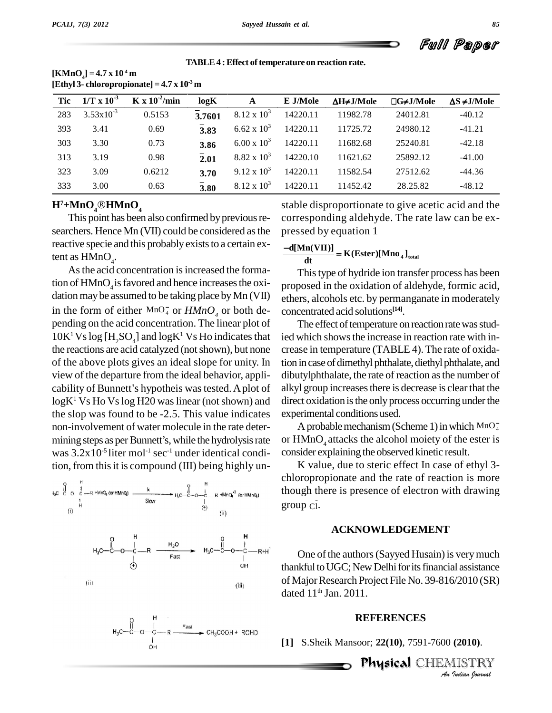**TABLE4 :Effect oftemperature on reaction rate.**



| $\mu$ <sub>1</sub> $\mu$ <sub>1</sub> $\mu$ <sub>1</sub> $\mu$ <sub>1</sub> $\mu$ <sub>1</sub> $\mu$<br>[Ethyl 3- chloropropionate] = $4.7 \times 10^{-3}$ m |                       |                         |        |                      |          |                        |                      |                        |
|--------------------------------------------------------------------------------------------------------------------------------------------------------------|-----------------------|-------------------------|--------|----------------------|----------|------------------------|----------------------|------------------------|
| Tic                                                                                                                                                          | $1/T \times 10^{-3}$  | $K \times 10^{-2}$ /min | logK   | A                    | E J/Mole | $\Delta H \neq J/Mole$ | $\Box G \neq J/Mole$ | $\Delta S \neq J/Mole$ |
| 283                                                                                                                                                          | $3.53 \times 10^{-3}$ | 0.5153                  | 3.7601 | $8.12 \times 10^3$   | 14220.11 | 11982.78               | 24012.81             | $-40.12$               |
| 393                                                                                                                                                          | 3.41                  | 0.69                    | 3.83   | 6.62 x $10^3$        | 14220.11 | 11725.72               | 24980.12             | $-41.21$               |
| 303                                                                                                                                                          | 3.30                  | 0.73                    | 3.86   | $6.00 \times 10^{3}$ | 14220.11 | 11682.68               | 25240.81             | $-42.18$               |
| 313                                                                                                                                                          | 3.19                  | 0.98                    | 2.01   | $8.82 \times 10^3$   | 14220.10 | 11621.62               | 25892.12             | $-41.00$               |
| 323                                                                                                                                                          | 3.09                  | 0.6212                  | 3.70   | $9.12 \times 10^3$   | 14220.11 | 11582.54               | 27512.62             | $-44.36$               |
| 333                                                                                                                                                          | 3.00                  | 0.63                    | 3.80   | $8.12 \times 10^3$   | 14220.11 | 11452.42               | 28.25.82             | $-48.12$               |

| $[KMnO4] = 4.7 \times 10-4 m$                        |  |
|------------------------------------------------------|--|
| [Ethyl 3- chloropropionate] = $4.7 \times 10^{-3}$ m |  |

#### $H^7 + MnO_4$ <sup>®</sup> $H MnO_4$

This point has been also confirmed by previous researchers. Hence Mn (VII) could be considered as the reactive specie and this probably exists to a certain extent as  $HMnO<sub>4</sub>$ .

As the acid concentration is increased the formation of  $HMnO<sub>4</sub>$  is favored and hence increases the oxidation may be assumed to be taking place by Mn (VII)  $_{\rm eth}$ in the form of either  $MnO<sub>4</sub>$  or  $H MnO<sub>4</sub>$  or both depending on the acid concentration. The linear plot of  $10K<sup>1</sup>$  Vs log [H<sub>2</sub>SO<sub>4</sub>] and logK<sup>1</sup> Vs Ho indicates that the reactions are acid catalyzed (notshown), but none of the above plots gives an ideal slope for unity. In view of the departure from the ideal behavior, appli cability of Bunnett's hypotheis was tested. A plot of  $logK<sup>1</sup>$  Vs Ho Vs  $log H<sub>20</sub>$  was linear (not shown) and the slop was found to be -2.5. This value indicates non-involvement of water molecule in the rate deter mining steps as per Bunnett's, while the hydrolysis rate was  $3.2 \times 10^{-5}$  liter mol<sup>-1</sup> sec<sup>-1</sup> under identical condition, from thisit is compound (III) being highly un-



stable disproportionate to give acetic acid and the corresponding aldehyde. The rate law can be ex pressed by equation 1

# $\frac{d\mathbf{R}(\mathbf{K} \cdot \mathbf{H})}{d\mathbf{t}} = \mathbf{K}(\text{Ester})[\text{Mno}_4]_{\text{total}}$ ressed by equation 1<br> $\frac{d[{\bf Mn}({\bf VII})]}{d[{\bf E}({\bf W})]}$

Thistype of hydride ion transfer process has been proposed in the oxidation of aldehyde, formic acid, ethers, alcohols etc. by permanganate in moderately concentrated acid solutions **[14]**.

The effect of temperature on reaction rate was studied which shows the increase in reaction rate with increase in temperature (TABLE 4). The rate of oxidation in case of dimethyl phthalate, diethyl phthalate, and dibutylphthalate, the rate of reaction as the number of alkyl group increasesthere is decrease is clearthat the direct oxidation is the only process occurring under the experimental conditions used.

A probable mechanism (Scheme 1) in which  $MnO<sub>4</sub>$ or  $H MnO<sub>4</sub>$  attacks the alcohol moiety of the ester is consider explaining the observed kinetic result.

K value, due to steric effect In case of ethyl 3 chloropropionate and the rate of reaction is more though there is presence of electron with drawing  $group$   $Ci$ .

#### **ACKNOWLEDGEMENT**

One of the authors (Sayyed Husain) is very much thankful to UGC; New Delhi for its financial assistance of Major Research Project File No. 39-816/2010 (SR) dated 11<sup>th</sup> Jan. 2011.

#### **REFERENCES**

Physical CHEMISTRY

 *Indian Journal* **[1]** S.Sheik Mansoor; **22(10)**, 7591-7600 **(2010)**.